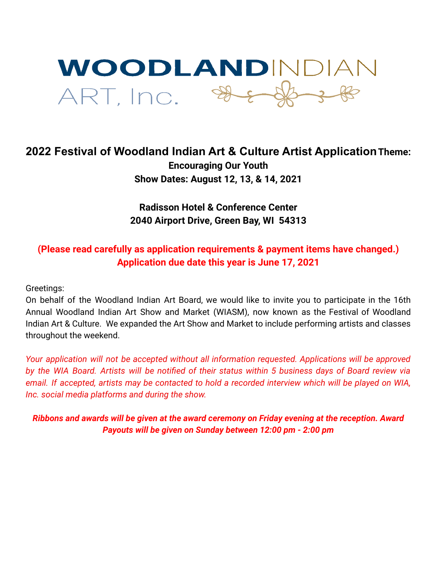

## **2022 Festival of Woodland Indian Art & Culture Artist ApplicationTheme: Encouraging Our Youth Show Dates: August 12, 13, & 14, 2021**

**Radisson Hotel & Conference Center 2040 Airport Drive, Green Bay, WI 54313**

## **(Please read carefully as application requirements & payment items have changed.) Application due date this year is June 17, 2021**

Greetings:

On behalf of the Woodland Indian Art Board, we would like to invite you to participate in the 16th Annual Woodland Indian Art Show and Market (WIASM), now known as the Festival of Woodland Indian Art & Culture. We expanded the Art Show and Market to include performing artists and classes throughout the weekend.

*Your application will not be accepted without all information requested. Applications will be approved* by the WIA Board. Artists will be notified of their status within 5 business days of Board review via email. If accepted, artists may be contacted to hold a recorded interview which will be played on WIA, *Inc. social media platforms and during the show.*

*Ribbons and awards will be given at the award ceremony on Friday evening at the reception. Award Payouts will be given on Sunday between 12:00 pm - 2:00 pm*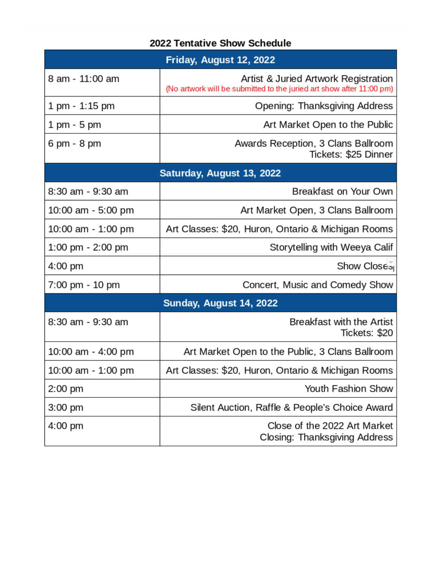| <b>2022 Tentative Show Schedule</b><br>Friday, August 12, 2022 |                                                               |  |
|----------------------------------------------------------------|---------------------------------------------------------------|--|
|                                                                |                                                               |  |
| $1 \text{ pm} - 1:15 \text{ pm}$                               | Opening: Thanksgiving Address                                 |  |
| 1 pm - 5 pm                                                    | Art Market Open to the Public                                 |  |
| 6 pm - 8 pm                                                    | Awards Reception, 3 Clans Ballroom<br>Tickets: \$25 Dinner    |  |
| Saturday, August 13, 2022                                      |                                                               |  |
| 8:30 am - 9:30 am                                              | Breakfast on Your Own                                         |  |
| 10:00 am - 5:00 pm                                             | Art Market Open, 3 Clans Ballroom                             |  |
| 10:00 am - 1:00 pm                                             | Art Classes: \$20, Huron, Ontario & Michigan Rooms            |  |
| $1:00 \text{ pm} - 2:00 \text{ pm}$                            | Storytelling with Weeya Calif                                 |  |
| 4:00 pm                                                        | Show Close <sub>ol</sub>                                      |  |
| 7:00 pm - 10 pm                                                | Concert, Music and Comedy Show                                |  |
| Sunday, August 14, 2022                                        |                                                               |  |
| 8:30 am - 9:30 am                                              | <b>Breakfast with the Artist</b><br>Tickets: \$20             |  |
| 10:00 am - 4:00 pm                                             | Art Market Open to the Public, 3 Clans Ballroom               |  |
| 10:00 am - 1:00 pm                                             | Art Classes: \$20, Huron, Ontario & Michigan Rooms            |  |
| $2:00$ pm                                                      | Youth Fashion Show                                            |  |
| $3:00$ pm                                                      | Silent Auction, Raffle & People's Choice Award                |  |
| 4:00 pm                                                        | Close of the 2022 Art Market<br>Closing: Thanksgiving Address |  |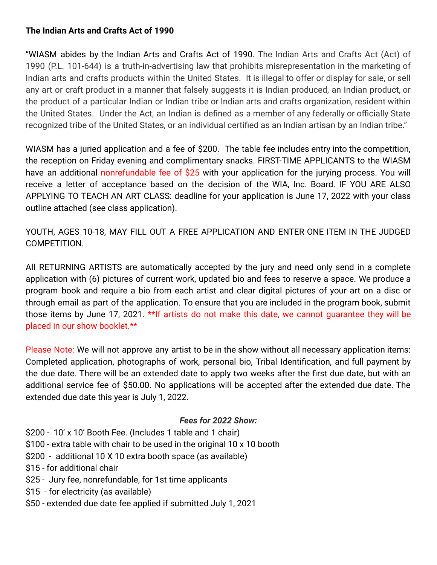### **The Indian Arts and Crafts Act of 1990**

"WIASM abides by the Indian Arts and Crafts Act of 1990. The Indian Arts and Crafts Act (Act) of 1990 (P.L. 101-644) is a truth-in-advertising law that prohibits misrepresentation in the marketing of Indian arts and crafts products within the United States. It is illegal to offer or display for sale, or sell any art or craft product in a manner that falsely suggests it is Indian produced, an Indian product, or the product of a particular Indian or Indian tribe or Indian arts and crafts organization, resident within the United States. Under the Act, an Indian is defined as a member of any federally or officially State recognized tribe of the United States, or an individual certified as an Indian artisan by an Indian tribe."

WIASM has a juried application and a fee of \$200. The table fee includes entry into the competition, the reception on Friday evening and complimentary snacks. FIRST-TIME APPLICANTS to the WIASM have an additional nonrefundable fee of \$25 with your application for the jurying process. You will receive a letter of acceptance based on the decision of the WIA, Inc. Board. IF YOU ARE ALSO APPLYING TO TEACH AN ART CLASS: deadline for your application is June 17, 2022 with your class outline attached (see class application).

YOUTH, AGES 10-18, MAY FILL OUT A FREE APPLICATION AND ENTER ONE ITEM IN THE JUDGED COMPETITION.

All RETURNING ARTISTS are automatically accepted by the jury and need only send in a complete application with (6) pictures of current work, updated bio and fees to reserve a space. We produce a program book and require a bio from each artist and clear digital pictures of your art on a disc or through email as part of the application. To ensure that you are included in the program book, submit those items by June 17, 2021. \*\*If artists do not make this date, we cannot guarantee they will be placed in our show booklet.\*\*

Please Note: We will not approve any artist to be in the show without all necessary application items: Completed application, photographs of work, personal bio, Tribal Identification, and full payment by the due date. There will be an extended date to apply two weeks after the first due date, but with an additional service fee of \$50.00. No applications will be accepted after the extended due date. The extended due date this year is July 1, 2022.

#### *Fees for 2022 Show:*

- \$200 10' x 10' Booth Fee. (Includes 1 table and 1 chair)
- \$100 extra table with chair to be used in the original 10 x 10 booth
- \$200 additional 10 X 10 extra booth space (as available)
- \$15 for additional chair
- \$25 Jury fee, nonrefundable, for 1st time applicants
- \$15 for electricity (as available)
- \$50 extended due date fee applied if submitted July 1, 2021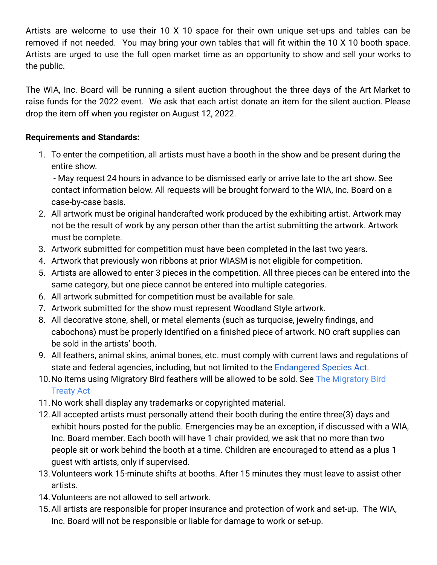Artists are welcome to use their 10 X 10 space for their own unique set-ups and tables can be removed if not needed. You may bring your own tables that will fit within the 10 X 10 booth space. Artists are urged to use the full open market time as an opportunity to show and sell your works to the public.

The WIA, Inc. Board will be running a silent auction throughout the three days of the Art Market to raise funds for the 2022 event. We ask that each artist donate an item for the silent auction. Please drop the item off when you register on August 12, 2022.

## **Requirements and Standards:**

1. To enter the competition, all artists must have a booth in the show and be present during the entire show.

- May request 24 hours in advance to be dismissed early or arrive late to the art show. See contact information below. All requests will be brought forward to the WIA, Inc. Board on a case-by-case basis.

- 2. All artwork must be original handcrafted work produced by the exhibiting artist. Artwork may not be the result of work by any person other than the artist submitting the artwork. Artwork must be complete.
- 3. Artwork submitted for competition must have been completed in the last two years.
- 4. Artwork that previously won ribbons at prior WIASM is not eligible for competition.
- 5. Artists are allowed to enter 3 pieces in the competition. All three pieces can be entered into the same category, but one piece cannot be entered into multiple categories.
- 6. All artwork submitted for competition must be available for sale.
- 7. Artwork submitted for the show must represent Woodland Style artwork.
- 8. All decorative stone, shell, or metal elements (such as turquoise, jewelry findings, and cabochons) must be properly identified on a finished piece of artwork. NO craft supplies can be sold in the artists' booth.
- 9. All feathers, animal skins, animal bones, etc. must comply with current laws and regulations of state and federal agencies, including, but not limited to the [Endangered Species Act.](https://www.fws.gov/international/laws-treaties-agreements/us-conservation-laws/endangered-species-act.html)
- 10. No items using Migratory Bird feathers will be allowed to be sold. See [The Migratory Bird](https://www.fws.gov/laws/lawsdigest/migtrea.html) [Treaty Act](https://www.fws.gov/laws/lawsdigest/migtrea.html)
- 11.No work shall display any trademarks or copyrighted material.
- 12.All accepted artists must personally attend their booth during the entire three(3) days and exhibit hours posted for the public. Emergencies may be an exception, if discussed with a WIA, Inc. Board member. Each booth will have 1 chair provided, we ask that no more than two people sit or work behind the booth at a time. Children are encouraged to attend as a plus 1 guest with artists, only if supervised.
- 13.Volunteers work 15-minute shifts at booths. After 15 minutes they must leave to assist other artists.
- 14.Volunteers are not allowed to sell artwork.
- 15.All artists are responsible for proper insurance and protection of work and set-up. The WIA, Inc. Board will not be responsible or liable for damage to work or set-up.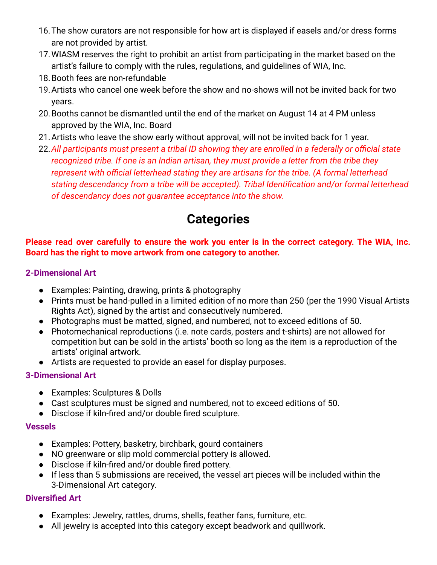- 16.The show curators are not responsible for how art is displayed if easels and/or dress forms are not provided by artist.
- 17.WIASM reserves the right to prohibit an artist from participating in the market based on the artist's failure to comply with the rules, regulations, and guidelines of WIA, Inc.
- 18.Booth fees are non-refundable
- 19.Artists who cancel one week before the show and no-shows will not be invited back for two years.
- 20.Booths cannot be dismantled until the end of the market on August 14 at 4 PM unless approved by the WIA, Inc. Board
- 21.Artists who leave the show early without approval, will not be invited back for 1 year.
- 22.*All participants must present a tribal ID showing they are enrolled in a federally or official state recognized tribe. If one is an Indian artisan, they must provide a letter from the tribe they represent with official letterhead stating they are artisans for the tribe. (A formal letterhead stating descendancy from a tribe will be accepted). Tribal Identification and/or formal letterhead of descendancy does not guarantee acceptance into the show.*

# **Categories**

### **Please read over carefully to ensure the work you enter is in the correct category. The WIA, Inc. Board has the right to move artwork from one category to another.**

## **2-Dimensional Art**

- Examples: Painting, drawing, prints & photography
- Prints must be hand-pulled in a limited edition of no more than 250 (per the 1990 Visual Artists Rights Act), signed by the artist and consecutively numbered.
- Photographs must be matted, signed, and numbered, not to exceed editions of 50.
- Photomechanical reproductions (i.e. note cards, posters and t-shirts) are not allowed for competition but can be sold in the artists' booth so long as the item is a reproduction of the artists' original artwork.
- Artists are requested to provide an easel for display purposes.

## **3-Dimensional Art**

- Examples: Sculptures & Dolls
- Cast sculptures must be signed and numbered, not to exceed editions of 50.
- Disclose if kiln-fired and/or double fired sculpture.

## **Vessels**

- Examples: Pottery, basketry, birchbark, gourd containers
- NO greenware or slip mold commercial pottery is allowed.
- Disclose if kiln-fired and/or double fired pottery.
- If less than 5 submissions are received, the vessel art pieces will be included within the 3-Dimensional Art category.

## **Diversified Art**

- Examples: Jewelry, rattles, drums, shells, feather fans, furniture, etc.
- All jewelry is accepted into this category except beadwork and quillwork.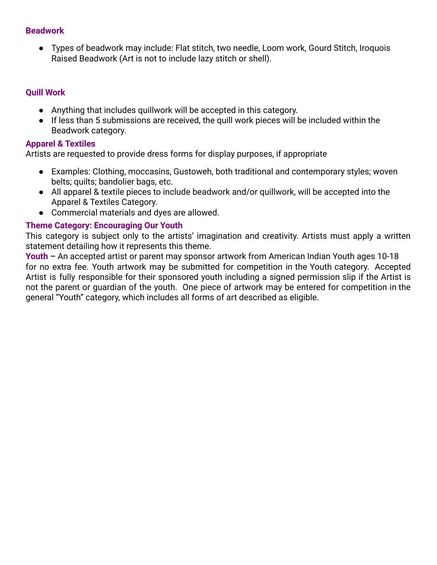#### **Beadwork**

● Types of beadwork may include: Flat stitch, two needle, Loom work, Gourd Stitch, Iroquois Raised Beadwork (Art is not to include lazy stitch or shell).

### **Quill Work**

- Anything that includes quillwork will be accepted in this category.
- If less than 5 submissions are received, the quill work pieces will be included within the Beadwork category.

#### **Apparel & Textiles**

Artists are requested to provide dress forms for display purposes, if appropriate

- Examples: Clothing, moccasins, Gustoweh, both traditional and contemporary styles; woven belts; quilts; bandolier bags, etc.
- All apparel & textile pieces to include beadwork and/or quillwork, will be accepted into the Apparel & Textiles Category.
- Commercial materials and dyes are allowed.

#### **Theme Category: Encouraging Our Youth**

This category is subject only to the artists' imagination and creativity. Artists must apply a written statement detailing how it represents this theme.

**Youth –** An accepted artist or parent may sponsor artwork from American Indian Youth ages 10-18 for no extra fee. Youth artwork may be submitted for competition in the Youth category. Accepted Artist is fully responsible for their sponsored youth including a signed permission slip if the Artist is not the parent or guardian of the youth. One piece of artwork may be entered for competition in the general "Youth" category, which includes all forms of art described as eligible.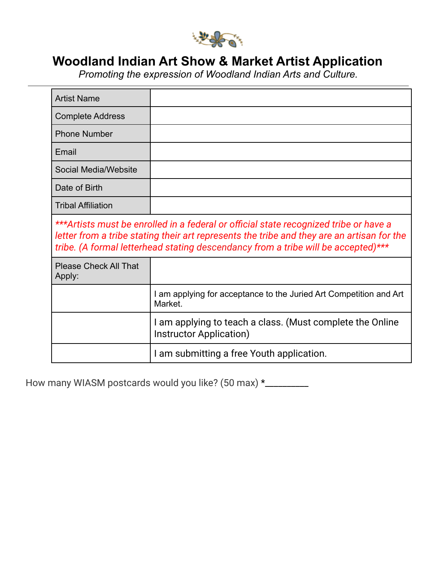

## **Woodland Indian Art Show & Market Artist Application**

*Promoting the expression of Woodland Indian Arts and Culture.*

| <b>Artist Name</b>                                                                                                                                                                                                                                                       |                                                                                      |
|--------------------------------------------------------------------------------------------------------------------------------------------------------------------------------------------------------------------------------------------------------------------------|--------------------------------------------------------------------------------------|
| <b>Complete Address</b>                                                                                                                                                                                                                                                  |                                                                                      |
| <b>Phone Number</b>                                                                                                                                                                                                                                                      |                                                                                      |
| Email                                                                                                                                                                                                                                                                    |                                                                                      |
| Social Media/Website                                                                                                                                                                                                                                                     |                                                                                      |
| Date of Birth                                                                                                                                                                                                                                                            |                                                                                      |
| <b>Tribal Affiliation</b>                                                                                                                                                                                                                                                |                                                                                      |
| ***Artists must be enrolled in a federal or official state recognized tribe or have a<br>letter from a tribe stating their art represents the tribe and they are an artisan for the<br>tribe. (A formal letterhead stating descendancy from a tribe will be accepted)*** |                                                                                      |
| <b>Please Check All That</b><br>Apply:                                                                                                                                                                                                                                   |                                                                                      |
|                                                                                                                                                                                                                                                                          | I am applying for acceptance to the Juried Art Competition and Art<br>Market.        |
|                                                                                                                                                                                                                                                                          | I am applying to teach a class. (Must complete the Online<br>Instructor Application) |
|                                                                                                                                                                                                                                                                          | I am submitting a free Youth application.                                            |

How many WIASM postcards would you like? (50 max) \*\_\_\_\_\_\_\_\_\_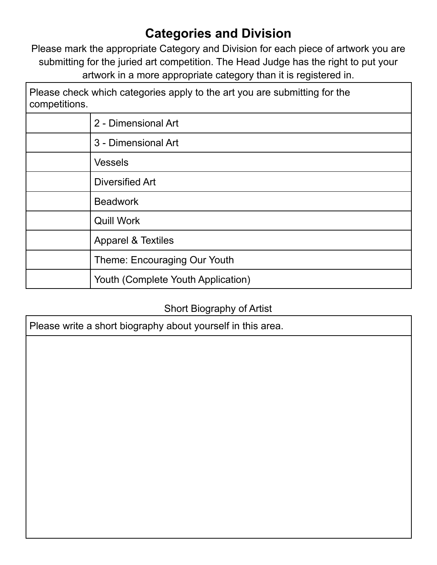# **Categories and Division**

Please mark the appropriate Category and Division for each piece of artwork you are submitting for the juried art competition. The Head Judge has the right to put your artwork in a more appropriate category than it is registered in.

٦

| Please check which categories apply to the art you are submitting for the<br>competitions. |                                    |
|--------------------------------------------------------------------------------------------|------------------------------------|
|                                                                                            | 2 - Dimensional Art                |
|                                                                                            | 3 - Dimensional Art                |
|                                                                                            | <b>Vessels</b>                     |
|                                                                                            | Diversified Art                    |
|                                                                                            | <b>Beadwork</b>                    |
|                                                                                            | <b>Quill Work</b>                  |
|                                                                                            | <b>Apparel &amp; Textiles</b>      |
|                                                                                            | Theme: Encouraging Our Youth       |
|                                                                                            | Youth (Complete Youth Application) |

## Short Biography of Artist

Please write a short biography about yourself in this area.

Г